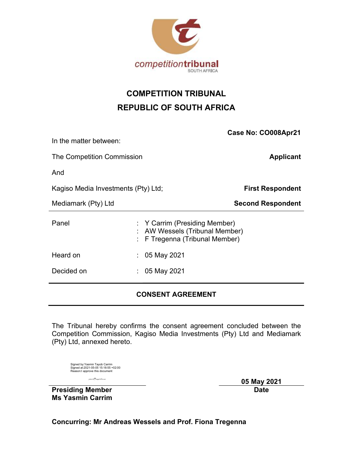

# COMPETITION TRIBUNAL REPUBLIC OF SOUTH AFRICA

|                                     |                 | Case No: CO008Apr21                                                                           |  |  |  |
|-------------------------------------|-----------------|-----------------------------------------------------------------------------------------------|--|--|--|
| In the matter between:              |                 |                                                                                               |  |  |  |
| The Competition Commission          |                 | <b>Applicant</b>                                                                              |  |  |  |
| And                                 |                 |                                                                                               |  |  |  |
| Kagiso Media Investments (Pty) Ltd; |                 | <b>First Respondent</b>                                                                       |  |  |  |
| Mediamark (Pty) Ltd                 |                 | <b>Second Respondent</b>                                                                      |  |  |  |
| Panel                               |                 | : Y Carrim (Presiding Member)<br>AW Wessels (Tribunal Member)<br>F Tregenna (Tribunal Member) |  |  |  |
| Heard on                            | $: 05$ May 2021 |                                                                                               |  |  |  |
| Decided on                          | $: 05$ May 2021 |                                                                                               |  |  |  |
|                                     |                 |                                                                                               |  |  |  |

# CONSENT AGREEMENT

The Tribunal hereby confirms the consent agreement concluded between the Competition Commission, Kagiso Media Investments (Pty) Ltd and Mediamark (Pty) Ltd, annexed hereto.

| Signed by: Yasmin Tayob Carrim |                                      |
|--------------------------------|--------------------------------------|
|                                | Signed at:2021-05-05 15:18:55 +02:00 |
| Reason:I approve this document |                                      |

 05 May 2021 **Example 2018 Date Date** 

Presiding Member Ms Yasmin Carrim

Concurring: Mr Andreas Wessels and Prof. Fiona Tregenna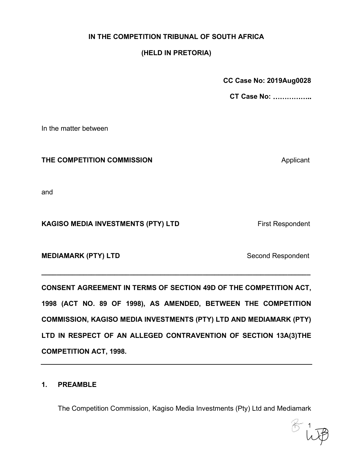# IN THE COMPETITION TRIBUNAL OF SOUTH AFRICA

# (HELD IN PRETORIA)

CC Case No: 2019Aug0028

CT Case No:

In the matter between

## THE COMPETITION COMMISSION **Applicant** Applicant

and

# CC Case No: 2019Aug0028<br>
CT Case No: .................<br>
THE COMPETITION COMMISSION<br>
Applicant<br>
And<br>
KAGISO MEDIA INVESTMENTS (PTY) LTD<br>
First Respondent<br>
MEDIAMARK (PTY) LTD<br>
Second Respondent

IN THE COMPETITION COMMISSION<br>
Applicant<br>
ARGISO MEDIA INVESTMENTS (PTY) LTD First Respondent<br>
MEDIAMARK (PTY) LTD Second Respondent<br>
CONSENT AGREEMENT IN TERMS OF SECTION 49D OF THE COMPETITION ACT,<br>
THE COMPETITION ACT,<br> 1998 (ACT NO. 89 OF 1998), AS AMENDED, BETWEEN THE COMPETITION ERREMENTS (PTY) LTD<br>
First Respondent<br>
MEDIAMARK (PTY) LTD<br>
CONSENT AGREEMENT IN TERMS OF SECTION 49D OF THE COMPETITION ACT,<br>
THE COMMISSION, KAGISO MEDIA INVESTMENTS (PTY) LTD AND MEDIAMARK (PTY)<br>
LTD IN RESPECT OF AN AL and<br>
MEDIAMARK (PTY) LTD<br>
MEDIAMARK (PTY) LTD<br>
CONSENT AGREEMENT IN TERMS OF SECTION 49D OF THE COMPETITION ACT,<br>
1998 (ACT NO. 89 OF 1998), AS AMENDED, BETWEEN THE COMPETITION<br>
COMMISSION, KAGISO MEDIA INVESTMENTS (PTY) L COMPETITION ACT, 1998. MEDIAMARK (PTY) LTD<br>
1998 (ACT NO. 89 OF 1998), AS AMENDED, BETWEEN<br>
1998 (ACT NO. 89 OF 1998), AS AMENDED, BETWEEN<br>
1<br>
COMMISSION, KAGISO MEDIA INVESTMENTS (PTY) LTD AND<br>
LTD IN RESPECT OF AN ALLEGED CONTRAVENTION OF S<br>
C SENT AGREEMENT IN TERMS OF SECTION 49D OF THE COMPETITION ACT,<br>(ACT NO. 89 OF 1998), AS AMENDED, BETWEEN THE COMPETITION<br>MISSION, KAGISO MEDIA INVESTMENTS (PTY) LTD AND MEDIAMARK (PTY)<br>IN RESPECT OF AN ALLEGED CONTRAVENTIO

 $1 \quad \bullet$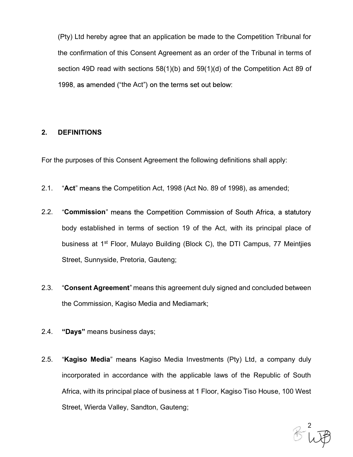(Pty) Ltd hereby agree that an application be made to the Competition Tribunal for (Pty) Ltd hereby agree that an application be made to the Competition Tribunal for<br>the confirmation of this Consent Agreement as an order of the Tribunal in terms of<br>section 49D read with sections 58(1)(b) and 59(1)(d) of (Pty) Ltd hereby agree that an application be made to the Competition Tribunal for<br>the confirmation of this Consent Agreement as an order of the Tribunal in terms of<br>section 49D read with sections 58(1)(b) and 59(1)(d) of 1998, as amended ("the Act") on the terms set out below: (Pty) Ltd hereby agree that an application be made to the Comparent as an order of the confirmation of this Consent Agreement as an order of the section 49D read with sections 58(1)(b) and 59(1)(d) of the C<br>1998, as amend (Pty) Ltd hereby agree that an application be made to the Competition Tribunal for<br>the confirmation of this Consent Agreement as an order of the Tribunal in terms of<br>section 49D read with sections 58(1)(b) and 59(1)(d) of

- 2.1. "Act" means the Competition Act, 1998 (Act No. 89 of 1998), as amended;
- 2.2. "Commission" means the Competition Commission of South Africa, a statutory body established in terms of section 19 of the Act, with its principal place of business at 1st Floor, Mulayo Building (Block C), the DTI Campus, 77 Meintjies Street, Sunnyside, Pretoria, Gauteng; Commission" means the Competition Commission of South Africa, a statutory<br>
body established in terms of section 19 of the Act, with its principal place of<br>
business at 1<sup>st</sup> Floor, Mulayo Building (Block C), the DTI Campus
- 2.3. "Consent Agreement" means this agreement duly signed and concluded between the Commission, Kagiso Media and Mediamark;
- 2.4. "Days" means business days;
- incorporated in accordance with the applicable laws of the Republic of South business at 1<sup>st</sup> Floor, Mulayo Building (Block C), the DTI Campus, 77 Meintjies<br>Street, Sunnyside, Pretoria, Gauteng;<br>"Consent Agreement" means this agreement duly signed and concluded between<br>the Commission, Kagiso Media Street, Wierda Valley, Sandton, Gauteng;

2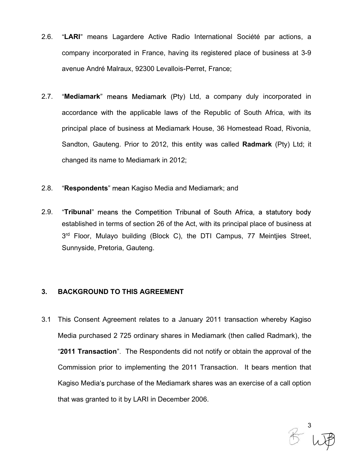- 2.6. "**LARI**" means Lagardere Active Radio International Société par actions, a<br>company incorporated in France, having its registered place of business at 3-9<br>avenue André Malraux, 92300 Levallois-Perret, France; "**LARI**" means Lagardere Active Radio International Société par actions, a<br>company incorporated in France, having its registered place of business at 3-9<br>avenue André Malraux, 92300 Levallois-Perret, France; avenue André Malraux, 92300 Levallois-Perret, France;
- 2.7. "Mediamark" means Mediamark (Pty) Ltd, a company duly incorporated in accordance with the applicable laws of the Republic of South Africa, with its principal place of business at Mediamark House, 36 Homestead Road, Rivonia, "LARI" means Lagardere Active Radio International Société par actions, a<br>company incorporated in France, having its registered place of business at 3-9<br>avenue André Malraux, 92300 Levallois-Perret, France;<br>"Mediamark" mean changed its name to Mediamark in 2012; 2.3. **EART IREAST Explorer Proton** International Societe Part actions, a<br>company incorporated in France, having its registered place of business at 3-9<br>avenue André Malraux, 92300 Levallois-Perret, France;<br>2.7. **"Mediamark**
- 
- 2.9. "Tribunal" means the Competition Tribunal of South Africa, a statutory body established in terms of section 26 of the Act, with its principal place of business at 3 rd Floor, Mulayo building (Block C), the DTI Campus, 77 Meintjies Street, Sunnyside, Pretoria, Gauteng. Sandton, Gauteng. Prior to 2012, this entity was called **Radmark** (Pty) I<br>changed its name to Mediamark in 2012;<br>2.8. **"Respondents**" mean Kagiso Media and Mediamark; and<br>2.9. **"Tribunal"** means the Competition Tribunal of 2.8. **"Respondents"** mean Kagiso Media and Mediamark; and<br>2.9. **"Tribunal"** means the Competition Tribunal of South Africa, a statutory body<br>established in terms of section 26 of the Act, with its principal place of busine

"**Respondents**" mean Kagiso Media and Mediamark; and<br>
"**Tribunal**" means the Competition Tribunal of South Africa, a statutory body<br>
established in terms of section 26 of the Act, with its principal place of business at<br> "2011 Transaction". The Respondents did not notify or obtain the approval of the established in terms of section 26 of the Act, with its principal place of business at<br>3<sup>rd</sup> Floor, Mulayo building (Block C), the DTI Campus, 77 Meintjies Street,<br>Sunnyside, Pretoria, Gauteng.<br>**BACKGROUND TO THIS AGREEMEN** Kagiso Media's purchase of the Mediamark shares was an exercise of a call option BACKGROUND TO THIS AGREEMENT<br>This Consent Agreement relates to a January 2011 transaction whereby Kagiso<br>Media purchased 2 725 ordinary shares in Mediamark (then called Radmark), the<br>"2011 Transaction". The Respondents did

3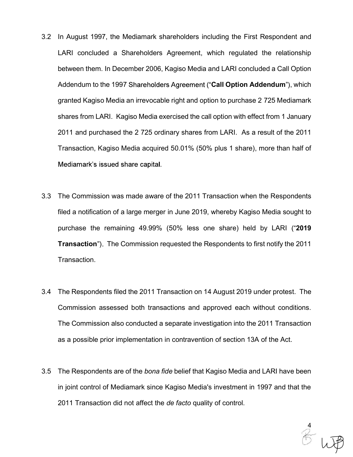- 3.2 In August 1997, the Mediamark shareholders including the First Respondent and<br>LARI concluded a Shareholders Agreement, which regulated the relationship<br>between them. In December 2006, Kagiso Media and LARI concluded a In August 1997, the Mediamark shareholders including the First Respondent and<br>LARI concluded a Shareholders Agreement, which regulated the relationship<br>between them. In December 2006, Kagiso Media and LARI concluded a Call between them. In December 2006, Kagiso Media and LARI concluded a Call Option In August 1997, the Mediamark shareholders including the First Respondent and<br>LARI concluded a Shareholders Agreement, which regulated the relationship<br>between them. In December 2006, Kagiso Media and LARI concluded a Call In August 1997, the Mediamark shareholders including the First Respondent and<br>LARI concluded a Shareholders Agreement, which regulated the relationship<br>between them. In December 2006, Kagiso Media and LARI concluded a Call In August 1997, the Mediamark shareholders including the First Respondent and<br>LARI concluded a Shareholders Agreement, which regulated the relationship<br>between them. In December 2006, Kagiso Media and LARI concluded a Call In August 1997, the Mediamark shareholders including the First Respondent and<br>LARI concluded a Shareholders Agreement, which regulated the relationship<br>between them. In December 2006, Kagiso Media and LARI concluded a Call In August 1997, the Mediamark shareholders including the First Respondent and LARI concluded a Shareholders Agreement, which regulated the relationship between them. In December 2006, Kagiso Media and LARI concluded a Call LARI concluded a Shareholders Agreement, which regulated the relationship<br>between them. In December 2006, Kagiso Media and LARI concluded a Call Option<br>Addendum to the 1997 Shareholders Agreement ("Call Option Addendum"), between them. In December 2006, Kagiso Media and LARI concluded a Call Option<br>Addendum to the 1997 Shareholders Agreement ("Call Option Addendum"), which<br>granted Kagiso Media an irrevocable right and option to purchase 2 7 Addendum to the 1997 Shareholders Agreement ("**Call Option Addendum**"), which<br>granted Kagiso Media an irrevocable right and option to purchase 2 725 Mediamark<br>shares from LARI. Kagiso Media exercised the call option with e granted Kagiso Media an irrevocable right and option to purchase 2 725 Mediamark<br>shares from LARI. Kagiso Media exercised the call option with effect from 1 January<br>2011 and purchased the 2 725 ordinary shares from LARI. A
- Transaction. Transaction, Kagiso Media acquired 50.01% (50% plus 1 share), more than half of<br>Mediamark's issued share capital.<br>3.3 The Commission was made aware of the 2011 Transaction when the Respondents<br>filed a notification of a lar The Commission was made aware of the 2011 Transaction when the Respondents<br>filed a notification of a large merger in June 2019, whereby Kagiso Media sought to<br>purchase the remaining 49.99% (50% less one share) held by LARI
- Commission assessed both transactions and approved each without conditions. as a possible prior implementation in contravention of section 13A of the Act. purchase the remaining 49.99% (50% less one share) held by LARI ("2019<br>
Transaction"). The Commission requested the Respondents to first notify the 2011<br>
Transaction.<br>
3.4 The Respondents filed the 2011 Transaction on 14 A
- in joint control of Mediamark since Kagiso Media's investment in 1997 and that the 2011 Transaction did not affect the de facto quality of control.

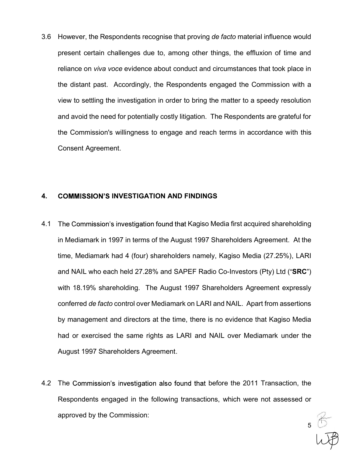3.6 However, the Respondents recognise that proving *de facto* material influence would<br>present certain challenges due to, among other things, the effluxion of time and<br>reliance on *viva voce* evidence about conduct and ci present certain challenges due to, among other things, the effluxion of time and reliance on viva voce evidence about conduct and circumstances that took place in the distant past. Accordingly, the Respondents engaged the Commission with a view to settling the investigation in order to bring the matter to a speedy resolution and avoid the need for potentially costly litigation. The Respondents are grateful for the Commission's willingness to engage and reach terms in accordance with this Consent Agreement. present certain challenges due to, among other things, the effluxion of time and<br>reliance on *viva voce* evidence about conduct and circumstances that took place in<br>the distant past. Accordingly, the Respondents engaged th the distant past. Accordingly, the Respondents engaged the Commission with a<br>view to settling the investigation in order to bring the matter to a speedy resolution<br>and avoid the need for potentially costly litigation. The view to settling the investigation in order to bring the matter to a speedy resolution<br>and avoid the need for potentially costly litigation. The Respondents are grateful for<br>the Commission's willingness to engage and reach

- time, Mediamark had 4 (four) shareholders namely, Kagiso Media (27.25%), LARI the Commission's willingness to engage and reach terms in accordance with this<br>Consent Agreement.<br>COMMISSION'S INVESTIGATION AND FINDINGS<br>The Commission's investigation found that Kagiso Media first acquired shareholding<br>i Consent Agreement.<br>
COMMISSION'S INVESTIGATION AND FINDINGS<br>
The Commission's investigation found that Kagiso Media first acquired shareholding<br>
in Mediamark in 1997 in terms of the August 1997 Shareholders Agreement. At t COMMISSION'S INVESTIGATION AND FINDINGS<br>The Commission's investigation found that Kagiso Media first acquired shareholding<br>in Mediamark in 1997 in terms of the August 1997 Shareholders Agreement. At the<br>time, Mediamark had **COMMISSION'S INVESTIGATION AND FINDINGS**<br>The Commission's investigation found that Kagiso Media first acquired shareholding<br>in Mediamark in 1997 in terms of the August 1997 Shareholders Agreement. At the<br>time, Mediamark h **COMMISSION'S INVESTIGATION AND FINDINGS**<br>The Commission's investigation found that Kagiso Media first acquired shareholding<br>in Mediamark in 1997 in terms of the August 1997 Shareholders Agreement. At the<br>time, Mediamark h The Commission's investigation found that Kagiso Media first acquired shareholding<br>in Mediamark in 1997 in terms of the August 1997 Shareholders Agreement. At the<br>time, Mediamark had 4 (four) shareholders namely, Kagiso Me in Mediamark in 1997 in terms of the August 1997 Shareholders Agreement. At the<br>time, Mediamark had 4 (four) shareholders namely, Kagiso Media (27.25%), LARI<br>and NAIL who each held 27.28% and SAPEF Radio Co-Investors (Pty)
- Respondents engaged in the following transactions, which were not assessed or approved by the Commission:

 $55$ <br> $1.77$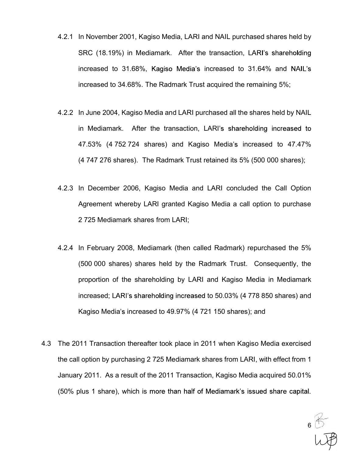- 4.2.1 In November 2001, Kagiso Media, LARI and NAIL purchased shares held by<br>SRC (18.19%) in Mediamark. After the transaction, LARI's shareholding<br>increased to 31.68%, Kagiso Media's increased to 31.64% and NAIL's In November 2001, Kagiso Media, LARI and NAIL purchased shares held by<br>SRC (18.19%) in Mediamark. After the transaction, LARI's shareholding<br>increased to 31.68%, Kagiso Media's increased to 31.64% and NAIL's<br>incre In November 2001, Kagiso Media, LARI and NAIL purchased shares held by<br>SRC (18.19%) in Mediamark. After the transaction, LARI's shareholding<br>increased to 31.68%, Kagiso Media's increased to 31.64% and NAIL's<br>increased to 3 In November 2001, Kagiso Media, LARI and NAIL purchased shares held by<br>SRC (18.19%) in Mediamark. After the transaction, LARI's shareholding<br>increased to 31.68%, Kagiso Media's increased to 31.64% and NAIL's<br>increased to 3 1.2.1 In November 2001, Kagiso Media, LARI and NAIL purchased shares held by<br>SRC (18.19%) in Mediamark. After the transaction, LARI's shareholding<br>increased to 31.68%, Kagiso Media's increased to 31.64% and NAIL's<br>increase
- In November 2001, Kagiso Media, LARI and NAIL purchased shares held by<br>SRC (18.19%) in Mediamark. After the transaction, LARI's shareholding<br>increased to 31.68%. Kagiso Media's increased to 31.64% and NAIL's<br>increased to 3 In November 2001, Kagiso Media, LARI and NAIL purchased shares held by<br>SRC (18.19%) in Mediamark. After the transaction, LARI's shareholding<br>increased to 31.68%, Kagiso Media's increased to 31.64% and NAIL's<br>increased to 3 In November 2001, Kagiso Media, LARI and NAIL purchased shares held by<br>SRC (18.19%) in Mediamark. After the transaction, LARI's shareholding<br>increased to 31.68%. Kagiso Media's increased to 31.64% and NAIL's<br>increased to 3 4.2.1 In November 2001, Ragiso Media, EAN and NAL pulchased states neld by<br>
SRC (18.19%) in Mediamark. After the transaction, LARI's shareholding<br>
increased to 31.68%. The Radmark Trust acquired the remaining 5%;<br>
4.2.2 In SINC (10.19%) in Medianian. Alter the transaction, LARI's shareholding<br>increased to 31.68%. Kagiso Media's increased to 31.64% and NAIL's<br>increased to 34.68%. The Radmark Trust acquired the remaining 5%;<br>In June 2004, Kagi nicreased to 31.06%, Nagiso Media s increased to 31.04% and NALEs<br>increased to 34.68%. The Radmark Trust acquired the remaining 5%;<br>In June 2004, Kagiso Media and LARI purchased all the shares held by NAIL<br>in Mediamark. Af 1.2.2 In June 2004, Kagiso Media and LARI purchased all the shares held by NAIL<br>
in Mediamark. After the transaction, LARI's shareholding increased to<br>
17.53% (4.752.724 shares) and Kagiso Media's increased to 47.47%<br>
(4.7
- 
- In Sune 2004, Ragiso Miedia and EANT purchased an the shares held by NATL<br>In Mediamark. After the transaction, LARI's shareholding increased to<br>47.53% (4.752.724 shares) and Kagiso Media's increased to 47.47%<br>(4.747.276 sh In Mediamark. And The Tansaction, EANT's shateholding increased to 47.47%<br>(4.747.276 shares). The Radmark Trust retained its 5% (500.000 shares);<br>(4.747.276 shares). The Radmark Trust retained its 5% (500.000 shares);<br>(500 11.33% (4.132.124 shares) and Ragiso Medias incleased to 41.47%<br>(4.747.276 shares). The Radmark Trust retained its 5% (500.000 shares);<br>In December 2006, Kagiso Media and LARI concluded the Call Option<br>Agreement whereby LA (4 747 270 shares). The Radinark Trust retained its 376 (300 000 shares),<br>
In December 2006, Kagiso Media and LARI concluded the Call Option<br>
Agreement whereby LARI granted Kagiso Media a call option to purchase<br>
2 725 Med Agreement whereby LARI granted Kagiso Media a call option to purchase<br>
2.725 Mediamark shares from LARI;<br>
4.2.4 In February 2008, Mediamark (then called Radmark) repurchased the 5%<br>
(500 000 shares) shares held by the Radm 2 725 Mediamark shares from LARI;<br>
4.2.4 In February 2008, Mediamark (then called Radmark) repurchased the 5%<br>
(500 000 shares) shares held by the Radmark Trust. Consequently, the<br>
proportion of the shareholding by LARI a 4.2.4 In February 2008, Mediamark (then called Radmark) repurchased the 5% (500 000 shares) shares held by the Radmark Trust. Consequently, the proportion of the shareholding by LARI and Kagiso Media in Mediamark increase
- (50% plus 1 share), which is more than half of Mediamark's issued share capital.

 $65$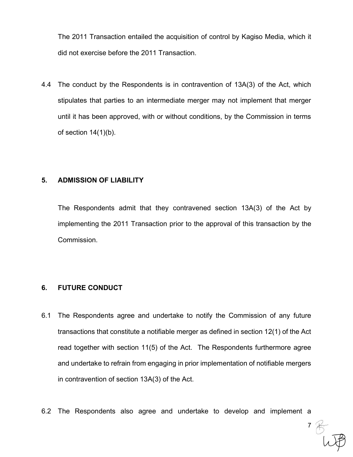The 2011 Transaction entailed the acquisition of control by Kagiso Media, which it did not exercise before the 2011 Transaction.

The 2011 Transaction entailed the acquisition of control by Kagiso Media, which it<br>did not exercise before the 2011 Transaction.<br>4.4 The conduct by the Respondents is in contravention of 13A(3) of the Act, which<br>stipulates The 2011 Transaction entailed the acquisition of control by Kagiso Media, which it<br>did not exercise before the 2011 Transaction.<br>The conduct by the Respondents is in contravention of 13A(3) of the Act, which<br>stipulates tha until it has been approved, with or without conditions, by the Commission in terms of section  $14(1)(b)$ . The 2011 Transaction entailed the acquisition of control by Kagiso Media,<br>did not exercise before the 2011 Transaction.<br>4.4 The conduct by the Respondents is in contravention of 13A(3) of the Act<br>stipulates that parties to The conduct by the Respondents is in contravention of 13A(3) of the Act, which<br>stipulates that parties to an intermediate merger may not implement that merger<br>until it has been approved, with or without conditions, by the The conduct by the Respondents is in contravention of 13A(3) of the Act, which<br>stipulates that parties to an intermediate merger may not implement that merger<br>until it has been approved, with or without conditions, by the

Commission. 5. ADMISSION OF LIABILITY<br>
The Respondents admit that they contravened section 1.<br>
implementing the 2011 Transaction prior to the approval of the<br>
Commission.<br>
6. FUTURE CONDUCT<br>
6.1 The Respondents agree and undertake to

- 5. **ADMISSION OF LIABILITY**<br>
The Respondents admit that they contravened section 13A(3) of the Act by<br>
implementing the 2011 Transaction prior to the approval of this transaction by the<br>
Commission.<br>
6. **FUTURE CONDUCT**<br>
6 transactions that constitute a notifiable merger as defined in section 12(1) of the Act read together with section 11(5) of the Act. The Respondents furthermore agree implementing the 2011 Transaction prior to the approval of this transaction by the<br>Commission.<br>The Respondents agree and undertake to notify the Commission of any future<br>transactions that constitute a notifiable merger as Commission.<br>
The Respondents agree and undertake to notify the Commis<br>
transactions that constitute a notifiable merger as defined in sect<br>
read together with section 11(5) of the Act. The Respondents<br>
and undertake to ref 6.1 The Respondents agree and undertake to notify the Commission of any future<br>transactions that constitute a notifiable merger as defined in section 12(1) of the Act<br>read together with section 11(5) of the Act. The Respo
-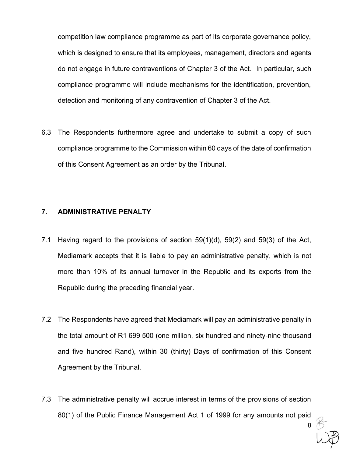competition law compliance programme as part of its corporate governance policy, which is designed to ensure that its employees, management, directors and agents competition law compliance programme as part of its corporate governance policy,<br>which is designed to ensure that its employees, management, directors and agents<br>do not engage in future contraventions of Chapter 3 of the A compliance programme will include mechanisms for the identification, prevention, detection and monitoring of any contravention of Chapter 3 of the Act. competition law compliance programme as part of its corporate governance policy,<br>which is designed to ensure that its employees, management, directors and agents<br>do not engage in future contraventions of Chapter 3 of the A do not engage in future contraventions of Chapter 3 of the Act. In particular, succompliance programme will include mechanisms for the identification, prevention<br>detection and monitoring of any contravention of Chapter 3 o

compliance programme to the Commission within 60 days of the date of confirmation of this Consent Agreement as an order by the Tribunal.

- detection and monitoring of any contravention of Chapter 3 of the Act.<br>
6.3 The Respondents furthermore agree and undertake to submit a copy of such<br>
compliance programme to the Commission within 60 days of the date of con The Respondents furthermore agree and undertake to submit a copy of such<br>compliance programme to the Commission within 60 days of the date of confirmation<br>of this Consent Agreement as an order by the Tribunal.<br>ADMINISTRATI The Respondents furthermore agree and undertake to submit a copy of such<br>compliance programme to the Commission within 60 days of the date of confirmation<br>of this Consent Agreement as an order by the Tribunal.<br>ADMINISTRATI Republic during the preceding financial year. **7.1 Having regard to the provisions of section 59(1)(d), 59(2) and 59(3) of the Act,<br>
Mediamark accepts that it is liable to pay an administrative penalty, which is not<br>
more than 10% of its annual turnover in the Republ** ADMINISTRATIVE PENALTY<br>Having regard to the provisions of section 59(1)(d), 59(2) and 59(3) of the Act,<br>Mediamark accepts that it is liable to pay an administrative penalty, which is not<br>more than 10% of its annual turnove
- and five hundred Rand), within 30 (thirty) Days of confirmation of this Consent Agreement by the Tribunal. Mediamark accepts that it is liable to pay an administrative penalty, which is not<br>more than 10% of its annual turnover in the Republic and its exports from the<br>Republic during the preceding financial year.<br>T.2 The Respon
- 80(1) of the Public Finance Management Act 1 of 1999 for any amounts not paid

 $8$   $\circlearrowright$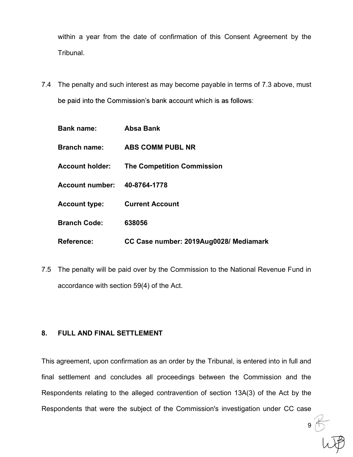within a year from the date of confirmation of this Consent Agreement by the Tribunal.

within a year from the date of confirmation of this Consent Agreement by the<br>Tribunal.<br>7.4 The penalty and such interest as may become payable in terms of 7.3 above, must<br>be paid into the Commission's bank account which is

|                                 | be paid into the Commission's bank account which is as follows:                                                              |                                        |  |  |  |
|---------------------------------|------------------------------------------------------------------------------------------------------------------------------|----------------------------------------|--|--|--|
|                                 | <b>Bank name:</b>                                                                                                            | <b>Absa Bank</b>                       |  |  |  |
|                                 | <b>Branch name:</b>                                                                                                          | <b>ABS COMM PUBL NR</b>                |  |  |  |
|                                 | <b>Account holder:</b>                                                                                                       | <b>The Competition Commission</b>      |  |  |  |
|                                 | <b>Account number:</b>                                                                                                       | 40-8764-1778                           |  |  |  |
|                                 | <b>Account type:</b>                                                                                                         | <b>Current Account</b>                 |  |  |  |
|                                 | <b>Branch Code:</b>                                                                                                          | 638056                                 |  |  |  |
|                                 | <b>Reference:</b>                                                                                                            | CC Case number: 2019Aug0028/ Mediamark |  |  |  |
| 7.5                             | The penalty will be paid over by the Commission to the National Revenue Fund in<br>accordance with section 59(4) of the Act. |                                        |  |  |  |
| 8.<br>FULL AND FINAL SETTLEMENT |                                                                                                                              |                                        |  |  |  |
|                                 | This agreement, upon confirmation as an order by the Tribunal, is entered into in full and                                   |                                        |  |  |  |
|                                 |                                                                                                                              |                                        |  |  |  |

Branch Code: 638056<br>
Reference: CC Case number: 2019Aug0028/ Mediamark<br>
7.5 The penalty will be paid over by the Commission to the National Revenue Fund in<br>
accordance with section 59(4) of the Act.<br>
8. FULL AND FINAL SETT **Final State State All and CC Case number: 2019Aug0028/ Mediamark**<br>
T.5 The penalty will be paid over by the Commission to the National Revenue Fund in<br>
accordance with section 59(4) of the Act.<br> **8. FULL AND FINAL SETTL** Respondents relations for the Commission to the National Revenue Fund in<br>accordance with section 59(4) of the Act.<br>**8.** FULL AND FINAL SETTLEMENT<br>This agreement, upon confirmation as an order by the Tribunal, is entered in The penalty will be paid over by the Commission to the National Revenue Fund in<br>accordance with section 59(4) of the Act.<br> **8.** FULL AND FINAL SETTLEMENT<br>
This agreement, upon confirmation as an order by the Tribunal, is